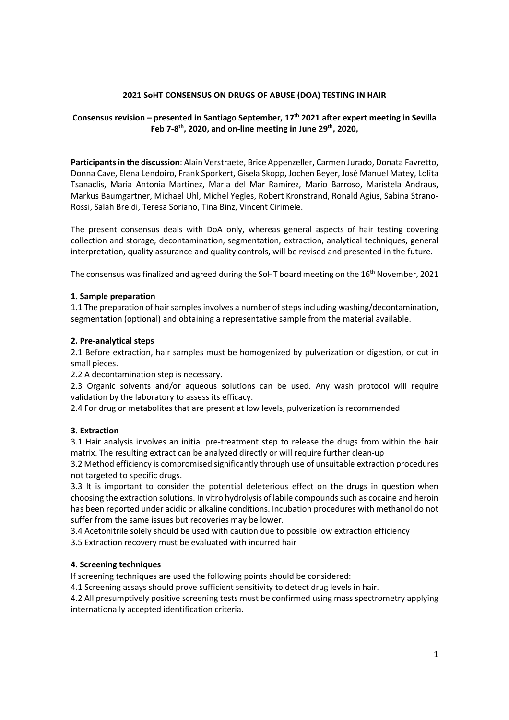## 2021 SoHT CONSENSUS ON DRUGS OF ABUSE (DOA) TESTING IN HAIR

# Consensus revision – presented in Santiago September, 17<sup>th</sup> 2021 after expert meeting in Sevilla Feb 7-8<sup>th</sup>, 2020, and on-line meeting in June 29<sup>th</sup>, 2020,

Participants in the discussion: Alain Verstraete, Brice Appenzeller, Carmen Jurado, Donata Favretto, Donna Cave, Elena Lendoiro, Frank Sporkert, Gisela Skopp, Jochen Beyer, José Manuel Matey, Lolita Tsanaclis, Maria Antonia Martinez, Maria del Mar Ramirez, Mario Barroso, Maristela Andraus, Markus Baumgartner, Michael Uhl, Michel Yegles, Robert Kronstrand, Ronald Agius, Sabina Strano-Rossi, Salah Breidi, Teresa Soriano, Tina Binz, Vincent Cirimele.

The present consensus deals with DoA only, whereas general aspects of hair testing covering collection and storage, decontamination, segmentation, extraction, analytical techniques, general interpretation, quality assurance and quality controls, will be revised and presented in the future.

The consensus was finalized and agreed during the SoHT board meeting on the 16<sup>th</sup> November, 2021

#### 1. Sample preparation

1.1 The preparation of hair samples involves a number of steps including washing/decontamination, segmentation (optional) and obtaining a representative sample from the material available.

#### 2. Pre-analytical steps

2.1 Before extraction, hair samples must be homogenized by pulverization or digestion, or cut in small pieces.

2.2 A decontamination step is necessary.

2.3 Organic solvents and/or aqueous solutions can be used. Any wash protocol will require validation by the laboratory to assess its efficacy.

2.4 For drug or metabolites that are present at low levels, pulverization is recommended

### 3. Extraction

3.1 Hair analysis involves an initial pre-treatment step to release the drugs from within the hair matrix. The resulting extract can be analyzed directly or will require further clean-up

3.2 Method efficiency is compromised significantly through use of unsuitable extraction procedures not targeted to specific drugs.

3.3 It is important to consider the potential deleterious effect on the drugs in question when choosing the extraction solutions. In vitro hydrolysis of labile compounds such as cocaine and heroin has been reported under acidic or alkaline conditions. Incubation procedures with methanol do not suffer from the same issues but recoveries may be lower.

3.4 Acetonitrile solely should be used with caution due to possible low extraction efficiency

3.5 Extraction recovery must be evaluated with incurred hair

### 4. Screening techniques

If screening techniques are used the following points should be considered:

4.1 Screening assays should prove sufficient sensitivity to detect drug levels in hair.

4.2 All presumptively positive screening tests must be confirmed using mass spectrometry applying internationally accepted identification criteria.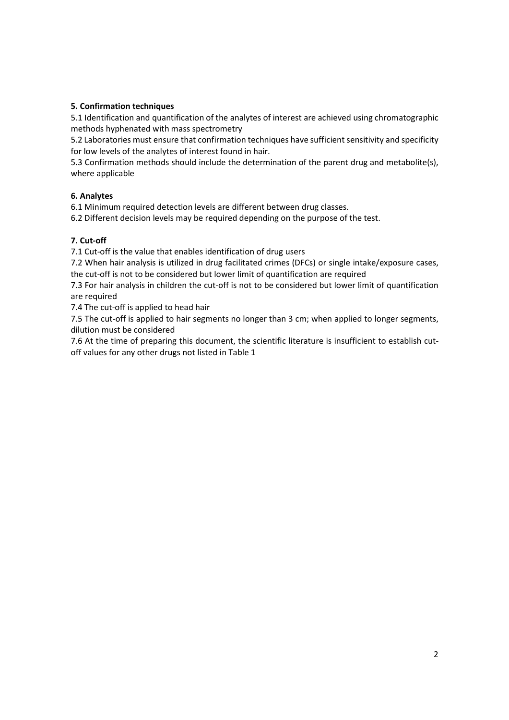# 5. Confirmation techniques

5.1 Identification and quantification of the analytes of interest are achieved using chromatographic methods hyphenated with mass spectrometry

5.2 Laboratories must ensure that confirmation techniques have sufficient sensitivity and specificity for low levels of the analytes of interest found in hair.

5.3 Confirmation methods should include the determination of the parent drug and metabolite(s), where applicable

### 6. Analytes

6.1 Minimum required detection levels are different between drug classes.

6.2 Different decision levels may be required depending on the purpose of the test.

## 7. Cut-off

7.1 Cut-off is the value that enables identification of drug users

7.2 When hair analysis is utilized in drug facilitated crimes (DFCs) or single intake/exposure cases, the cut-off is not to be considered but lower limit of quantification are required

7.3 For hair analysis in children the cut-off is not to be considered but lower limit of quantification are required

7.4 The cut-off is applied to head hair

7.5 The cut-off is applied to hair segments no longer than 3 cm; when applied to longer segments, dilution must be considered

7.6 At the time of preparing this document, the scientific literature is insufficient to establish cutoff values for any other drugs not listed in Table 1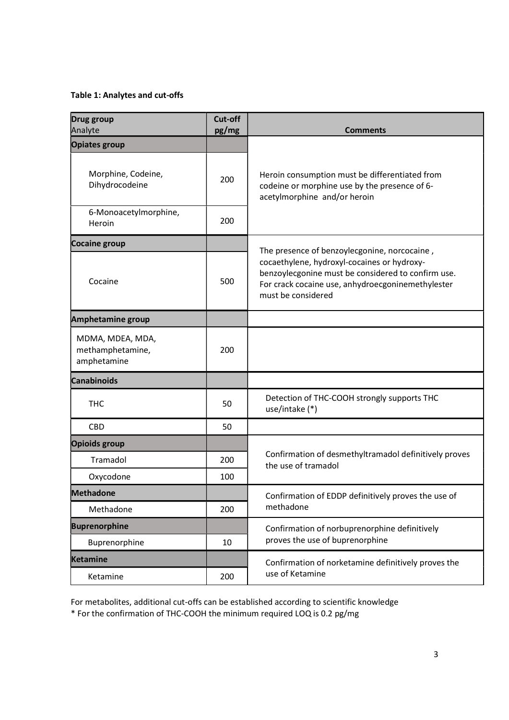# Table 1: Analytes and cut-offs

| Drug group<br>Analyte                               | Cut-off<br>pg/mg | <b>Comments</b>                                                                                                                                                                                                              |
|-----------------------------------------------------|------------------|------------------------------------------------------------------------------------------------------------------------------------------------------------------------------------------------------------------------------|
| <b>Opiates group</b>                                |                  |                                                                                                                                                                                                                              |
| Morphine, Codeine,<br>Dihydrocodeine                | 200              | Heroin consumption must be differentiated from<br>codeine or morphine use by the presence of 6-<br>acetylmorphine and/or heroin                                                                                              |
| 6-Monoacetylmorphine,<br>Heroin                     | 200              |                                                                                                                                                                                                                              |
| Cocaine group                                       |                  | The presence of benzoylecgonine, norcocaine,<br>cocaethylene, hydroxyl-cocaines or hydroxy-<br>benzoylecgonine must be considered to confirm use.<br>For crack cocaine use, anhydroecgoninemethylester<br>must be considered |
| Cocaine                                             | 500              |                                                                                                                                                                                                                              |
| Amphetamine group                                   |                  |                                                                                                                                                                                                                              |
| MDMA, MDEA, MDA,<br>methamphetamine,<br>amphetamine | 200              |                                                                                                                                                                                                                              |
| <b>Canabinoids</b>                                  |                  |                                                                                                                                                                                                                              |
| <b>THC</b>                                          | 50               | Detection of THC-COOH strongly supports THC<br>use/intake (*)                                                                                                                                                                |
| <b>CBD</b>                                          | 50               |                                                                                                                                                                                                                              |
| <b>Opioids group</b>                                |                  | Confirmation of desmethyltramadol definitively proves<br>the use of tramadol                                                                                                                                                 |
| Tramadol                                            | 200              |                                                                                                                                                                                                                              |
| Oxycodone                                           | 100              |                                                                                                                                                                                                                              |
| <b>Methadone</b>                                    |                  | Confirmation of EDDP definitively proves the use of<br>methadone                                                                                                                                                             |
| Methadone                                           | 200              |                                                                                                                                                                                                                              |
| <b>Buprenorphine</b>                                |                  | Confirmation of norbuprenorphine definitively<br>proves the use of buprenorphine                                                                                                                                             |
| Buprenorphine                                       | 10               |                                                                                                                                                                                                                              |
| <b>Ketamine</b>                                     |                  | Confirmation of norketamine definitively proves the<br>use of Ketamine                                                                                                                                                       |
| Ketamine                                            | 200              |                                                                                                                                                                                                                              |

For metabolites, additional cut-offs can be established according to scientific knowledge \* For the confirmation of THC-COOH the minimum required LOQ is 0.2 pg/mg